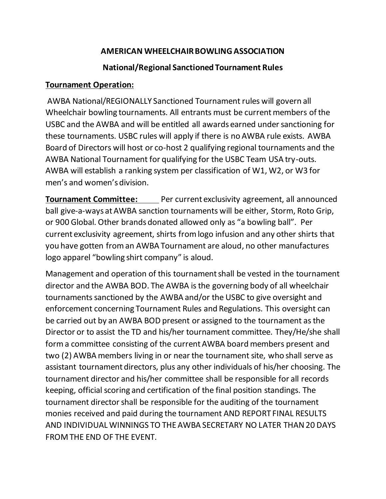### **AMERICAN WHEELCHAIR BOWLING ASSOCIATION**

### **National/Regional Sanctioned Tournament Rules**

### **Tournament Operation:**

AWBA National/REGIONALLY Sanctioned Tournament rules will govern all Wheelchair bowling tournaments. All entrants must be current members of the USBC and the AWBA and will be entitled all awards earned under sanctioning for these tournaments. USBC rules will apply if there is no AWBA rule exists. AWBA Board of Directors will host or co-host 2 qualifying regional tournaments and the AWBA National Tournament for qualifying for the USBC Team USA try-outs. AWBA will establish a ranking system per classification of W1, W2, or W3 for men's and women's division.

**Tournament Committee:** Per current exclusivity agreement, all announced ball give-a-ways at AWBA sanction tournaments will be either, Storm, Roto Grip, or 900 Global. Other brands donated allowed only as "a bowling ball". Per current exclusivity agreement, shirts from logo infusion and any other shirts that you have gotten from an AWBA Tournament are aloud, no other manufactures logo apparel "bowling shirt company" is aloud.

Management and operation of this tournament shall be vested in the tournament director and the AWBA BOD. The AWBA is the governing body of all wheelchair tournaments sanctioned by the AWBA and/or the USBC to give oversight and enforcement concerning Tournament Rules and Regulations. This oversight can be carried out by an AWBA BOD present or assigned to the tournament as the Director or to assist the TD and his/her tournament committee. They/He/she shall form a committee consisting of the current AWBA board members present and two (2) AWBA members living in or near the tournament site, who shall serve as assistant tournament directors, plus any other individuals of his/her choosing. The tournament director and his/her committee shall be responsible for all records keeping, official scoring and certification of the final position standings. The tournament director shall be responsible for the auditing of the tournament monies received and paid during the tournament AND REPORT FINAL RESULTS AND INDIVIDUAL WINNINGS TO THE AWBA SECRETARY NO LATER THAN 20 DAYS FROM THE END OF THE EVENT.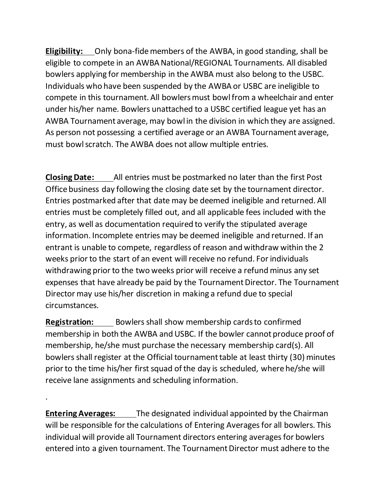**Eligibility:** Only bona-fide members of the AWBA, in good standing, shall be eligible to compete in an AWBA National/REGIONAL Tournaments. All disabled bowlers applying for membership in the AWBA must also belong to the USBC. Individuals who have been suspended by the AWBA or USBC are ineligible to compete in this tournament. All bowlers must bowl from a wheelchair and enter under his/her name. Bowlers unattached to a USBC certified league yet has an AWBA Tournament average, may bowl in the division in which they are assigned. As person not possessing a certified average or an AWBA Tournament average, must bowl scratch. The AWBA does not allow multiple entries.

**Closing Date:** All entries must be postmarked no later than the first Post Office business day following the closing date set by the tournament director. Entries postmarked after that date may be deemed ineligible and returned. All entries must be completely filled out, and all applicable fees included with the entry, as well as documentation required to verify the stipulated average information. Incomplete entries may be deemed ineligible and returned. If an entrant is unable to compete, regardless of reason and withdraw within the 2 weeks prior to the start of an event will receive no refund. For individuals withdrawing prior to the two weeks prior will receive a refund minus any set expenses that have already be paid by the Tournament Director. The Tournament Director may use his/her discretion in making a refund due to special circumstances.

**Registration:** Bowlers shall show membership cards to confirmed membership in both the AWBA and USBC. If the bowler cannot produce proof of membership, he/she must purchase the necessary membership card(s). All bowlers shall register at the Official tournament table at least thirty (30) minutes prior to the time his/her first squad of the day is scheduled, where he/she will receive lane assignments and scheduling information.

**Entering Averages:** The designated individual appointed by the Chairman will be responsible for the calculations of Entering Averages for all bowlers. This individual will provide all Tournament directors entering averages for bowlers entered into a given tournament. The Tournament Director must adhere to the

.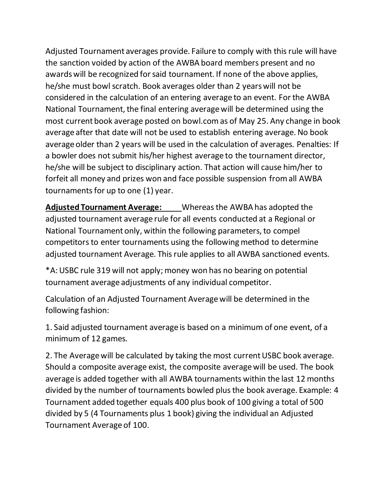Adjusted Tournament averages provide. Failure to comply with this rule will have the sanction voided by action of the AWBA board members present and no awards will be recognized for said tournament. If none of the above applies, he/she must bowl scratch. Book averages older than 2 years will not be considered in the calculation of an entering average to an event. For the AWBA National Tournament, the final entering average will be determined using the most current book average posted on bowl.com as of May 25. Any change in book average after that date will not be used to establish entering average. No book average older than 2 years will be used in the calculation of averages. Penalties: If a bowler does not submit his/her highest average to the tournament director, he/she will be subject to disciplinary action. That action will cause him/her to forfeit all money and prizes won and face possible suspension from all AWBA tournaments for up to one (1) year.

**Adjusted Tournament Average:** Whereas the AWBA has adopted the adjusted tournament average rule for all events conducted at a Regional or National Tournament only, within the following parameters, to compel competitors to enter tournaments using the following method to determine adjusted tournament Average. This rule applies to all AWBA sanctioned events.

\*A: USBC rule 319 will not apply; money won has no bearing on potential tournament average adjustments of any individual competitor.

Calculation of an Adjusted Tournament Average will be determined in the following fashion:

1. Said adjusted tournament average is based on a minimum of one event, of a minimum of 12 games.

2. The Average will be calculated by taking the most current USBC book average. Should a composite average exist, the composite average will be used. The book average is added together with all AWBA tournaments within the last 12 months divided by the number of tournaments bowled plus the book average. Example: 4 Tournament added together equals 400 plus book of 100 giving a total of 500 divided by 5 (4 Tournaments plus 1 book) giving the individual an Adjusted Tournament Average of 100.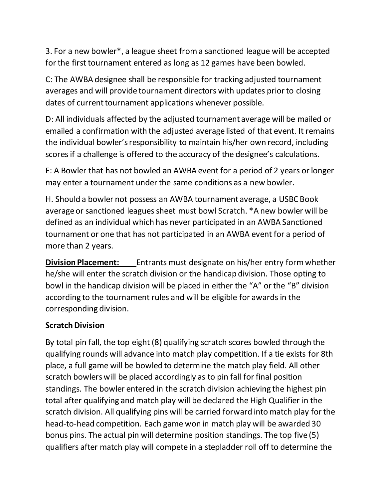3. For a new bowler\*, a league sheet from a sanctioned league will be accepted for the first tournament entered as long as 12 games have been bowled.

C: The AWBA designee shall be responsible for tracking adjusted tournament averages and will provide tournament directors with updates prior to closing dates of current tournament applications whenever possible.

D: All individuals affected by the adjusted tournament average will be mailed or emailed a confirmation with the adjusted average listed of that event. It remains the individual bowler's responsibility to maintain his/her own record, including scores if a challenge is offered to the accuracy of the designee's calculations.

E: A Bowler that has not bowled an AWBA event for a period of 2 years or longer may enter a tournament under the same conditions as a new bowler.

H. Should a bowler not possess an AWBA tournament average, a USBC Book average or sanctioned leagues sheet must bowl Scratch. \*A new bowler will be defined as an individual which has never participated in an AWBA Sanctioned tournament or one that has not participated in an AWBA event for a period of more than 2 years.

**Division Placement:** Entrants must designate on his/her entry form whether he/she will enter the scratch division or the handicap division. Those opting to bowl in the handicap division will be placed in either the "A" or the "B" division according to the tournament rules and will be eligible for awards in the corresponding division.

### **Scratch Division**

By total pin fall, the top eight (8) qualifying scratch scores bowled through the qualifying rounds will advance into match play competition. If a tie exists for 8th place, a full game will be bowled to determine the match play field. All other scratch bowlers will be placed accordingly as to pin fall for final position standings. The bowler entered in the scratch division achieving the highest pin total after qualifying and match play will be declared the High Qualifier in the scratch division. All qualifying pins will be carried forward into match play for the head-to-head competition. Each game won in match play will be awarded 30 bonus pins. The actual pin will determine position standings. The top five (5) qualifiers after match play will compete in a stepladder roll off to determine the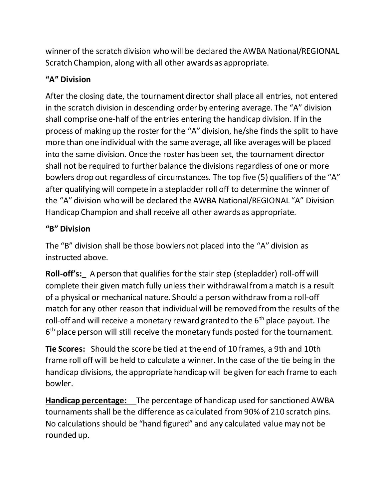winner of the scratch division who will be declared the AWBA National/REGIONAL Scratch Champion, along with all other awards as appropriate.

## **"A" Division**

After the closing date, the tournament director shall place all entries, not entered in the scratch division in descending order by entering average. The "A" division shall comprise one-half of the entries entering the handicap division. If in the process of making up the roster for the "A" division, he/she finds the split to have more than one individual with the same average, all like averages will be placed into the same division. Once the roster has been set, the tournament director shall not be required to further balance the divisions regardless of one or more bowlers drop out regardless of circumstances. The top five (5) qualifiers of the "A" after qualifying will compete in a stepladder roll off to determine the winner of the "A" division who will be declared the AWBA National/REGIONAL "A" Division Handicap Champion and shall receive all other awards as appropriate.

## **"B" Division**

The "B" division shall be those bowlers not placed into the "A" division as instructed above.

**Roll-off's:\_** A person that qualifies for the stair step (stepladder) roll-off will complete their given match fully unless their withdrawal from a match is a result of a physical or mechanical nature. Should a person withdraw from a roll-off match for any other reason that individual will be removed from the results of the roll-off and will receive a monetary reward granted to the  $6<sup>th</sup>$  place payout. The 6<sup>th</sup> place person will still receive the monetary funds posted for the tournament.

**Tie Scores:** Should the score be tied at the end of 10 frames, a 9th and 10th frame roll off will be held to calculate a winner. In the case of the tie being in the handicap divisions, the appropriate handicap will be given for each frame to each bowler.

**Handicap percentage:** The percentage of handicap used for sanctioned AWBA tournaments shall be the difference as calculated from 90% of 210 scratch pins. No calculations should be "hand figured" and any calculated value may not be rounded up.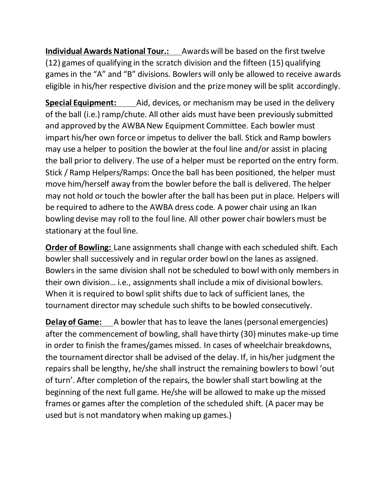**Individual Awards National Tour.:** Awards will be based on the first twelve (12) games of qualifying in the scratch division and the fifteen (15) qualifying games in the "A" and "B" divisions. Bowlers will only be allowed to receive awards eligible in his/her respective division and the prize money will be split accordingly.

**Special Equipment:** Aid, devices, or mechanism may be used in the delivery of the ball (i.e.) ramp/chute. All other aids must have been previously submitted and approved by the AWBA New Equipment Committee. Each bowler must impart his/her own force or impetus to deliver the ball. Stick and Ramp bowlers may use a helper to position the bowler at the foul line and/or assist in placing the ball prior to delivery. The use of a helper must be reported on the entry form. Stick / Ramp Helpers/Ramps: Once the ball has been positioned, the helper must move him/herself away from the bowler before the ball is delivered. The helper may not hold or touch the bowler after the ball has been put in place. Helpers will be required to adhere to the AWBA dress code. A power chair using an Ikan bowling devise may roll to the foul line. All other power chair bowlers must be stationary at the foul line.

**Order of Bowling:** Lane assignments shall change with each scheduled shift. Each bowler shall successively and in regular order bowl on the lanes as assigned. Bowlers in the same division shall not be scheduled to bowl with only members in their own division… i.e., assignments shall include a mix of divisional bowlers. When it is required to bowl split shifts due to lack of sufficient lanes, the tournament director may schedule such shifts to be bowled consecutively.

**Delay of Game:** A bowler that has to leave the lanes (personal emergencies) after the commencement of bowling, shall have thirty (30) minutes make-up time in order to finish the frames/games missed. In cases of wheelchair breakdowns, the tournament director shall be advised of the delay. If, in his/her judgment the repairs shall be lengthy, he/she shall instruct the remaining bowlers to bowl 'out of turn'. After completion of the repairs, the bowler shall start bowling at the beginning of the next full game. He/she will be allowed to make up the missed frames or games after the completion of the scheduled shift. (A pacer may be used but is not mandatory when making up games.)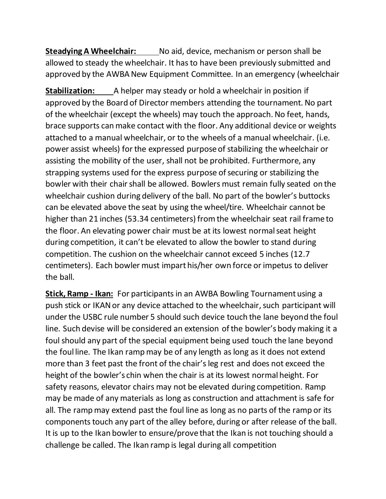**Steadying A Wheelchair:** No aid, device, mechanism or person shall be allowed to steady the wheelchair. It has to have been previously submitted and approved by the AWBA New Equipment Committee. In an emergency (wheelchair

**Stabilization:** A helper may steady or hold a wheelchair in position if approved by the Board of Director members attending the tournament. No part of the wheelchair (except the wheels) may touch the approach. No feet, hands, brace supports can make contact with the floor. Any additional device or weights attached to a manual wheelchair, or to the wheels of a manual wheelchair. (i.e. power assist wheels) for the expressed purpose of stabilizing the wheelchair or assisting the mobility of the user, shall not be prohibited. Furthermore, any strapping systems used for the express purpose of securing or stabilizing the bowler with their chair shall be allowed. Bowlers must remain fully seated on the wheelchair cushion during delivery of the ball. No part of the bowler's buttocks can be elevated above the seat by using the wheel/tire. Wheelchair cannot be higher than 21 inches (53.34 centimeters) from the wheelchair seat rail frame to the floor. An elevating power chair must be at its lowest normal seat height during competition, it can't be elevated to allow the bowler to stand during competition. The cushion on the wheelchair cannot exceed 5 inches (12.7 centimeters). Each bowler must impart his/her own force or impetus to deliver the ball.

**Stick, Ramp - Ikan:** For participants in an AWBA Bowling Tournament using a push stick or IKAN or any device attached to the wheelchair, such participant will under the USBC rule number 5 should such device touch the lane beyond the foul line. Such devise will be considered an extension of the bowler's body making it a foul should any part of the special equipment being used touch the lane beyond the foul line. The Ikan ramp may be of any length as long as it does not extend more than 3 feet past the front of the chair's leg rest and does not exceed the height of the bowler's chin when the chair is at its lowest normal height. For safety reasons, elevator chairs may not be elevated during competition. Ramp may be made of any materials as long as construction and attachment is safe for all. The ramp may extend past the foul line as long as no parts of the ramp or its components touch any part of the alley before, during or after release of the ball. It is up to the Ikan bowler to ensure/prove that the Ikan is not touching should a challenge be called. The Ikan ramp is legal during all competition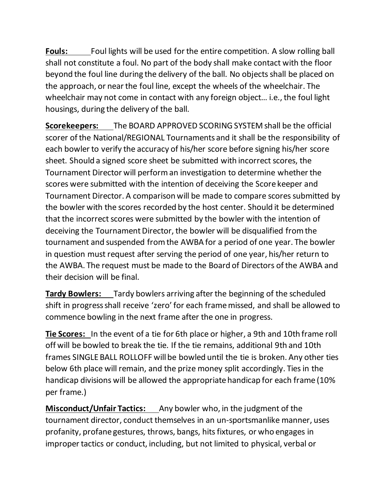**Fouls:** Foul lights will be used for the entire competition. A slow rolling ball shall not constitute a foul. No part of the body shall make contact with the floor beyond the foul line during the delivery of the ball. No objects shall be placed on the approach, or near the foul line, except the wheels of the wheelchair. The wheelchair may not come in contact with any foreign object… i.e., the foul light housings, during the delivery of the ball.

**Scorekeepers:** The BOARD APPROVED SCORING SYSTEM shall be the official scorer of the National/REGIONAL Tournaments and it shall be the responsibility of each bowler to verify the accuracy of his/her score before signing his/her score sheet. Should a signed score sheet be submitted with incorrect scores, the Tournament Director will perform an investigation to determine whether the scores were submitted with the intention of deceiving the Score keeper and Tournament Director. A comparison will be made to compare scores submitted by the bowler with the scores recorded by the host center. Should it be determined that the incorrect scores were submitted by the bowler with the intention of deceiving the Tournament Director, the bowler will be disqualified from the tournament and suspended from the AWBA for a period of one year. The bowler in question must request after serving the period of one year, his/her return to the AWBA. The request must be made to the Board of Directors of the AWBA and their decision will be final.

**Tardy Bowlers:** Tardy bowlers arriving after the beginning of the scheduled shift in progress shall receive 'zero' for each frame missed, and shall be allowed to commence bowling in the next frame after the one in progress.

**Tie Scores:** In the event of a tie for 6th place or higher, a 9th and 10th frame roll off will be bowled to break the tie. If the tie remains, additional 9th and 10th frames SINGLE BALL ROLLOFF will be bowled until the tie is broken. Any other ties below 6th place will remain, and the prize money split accordingly. Ties in the handicap divisions will be allowed the appropriate handicap for each frame (10% per frame.)

**Misconduct/Unfair Tactics:** Any bowler who, in the judgment of the tournament director, conduct themselves in an un-sportsmanlike manner, uses profanity, profane gestures, throws, bangs, hits fixtures, or who engages in improper tactics or conduct, including, but not limited to physical, verbal or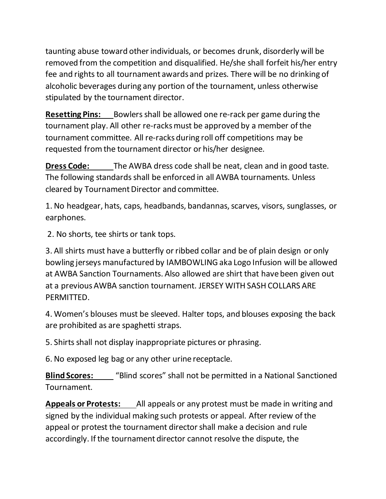taunting abuse toward other individuals, or becomes drunk, disorderly will be removed from the competition and disqualified. He/she shall forfeit his/her entry fee and rights to all tournament awards and prizes. There will be no drinking of alcoholic beverages during any portion of the tournament, unless otherwise stipulated by the tournament director.

**Resetting Pins:** Bowlers shall be allowed one re-rack per game during the tournament play. All other re-racks must be approved by a member of the tournament committee. All re-racks during roll off competitions may be requested fromthe tournament director or his/her designee.

**Dress Code:** The AWBA dress code shall be neat, clean and in good taste. The following standards shall be enforced in all AWBA tournaments. Unless cleared by Tournament Director and committee.

1. No headgear, hats, caps, headbands, bandannas, scarves, visors, sunglasses, or earphones.

2. No shorts, tee shirts or tank tops.

3. All shirts must have a butterfly or ribbed collar and be of plain design or only bowling jerseys manufactured by IAMBOWLING aka Logo Infusion will be allowed at AWBA Sanction Tournaments. Also allowed are shirt that have been given out at a previousAWBA sanction tournament. JERSEY WITH SASH COLLARS ARE PERMITTED.

4. Women's blouses must be sleeved. Halter tops, and blouses exposing the back are prohibited as are spaghetti straps.

5. Shirts shall not display inappropriate pictures or phrasing.

6. No exposed leg bag or any other urine receptacle.

**Blind Scores:** "Blind scores" shall not be permitted in a National Sanctioned Tournament.

**Appeals or Protests:** All appeals or any protest must be made in writing and signed by the individual making such protests or appeal. After review of the appeal or protest the tournament director shall make a decision and rule accordingly. If the tournament director cannot resolve the dispute, the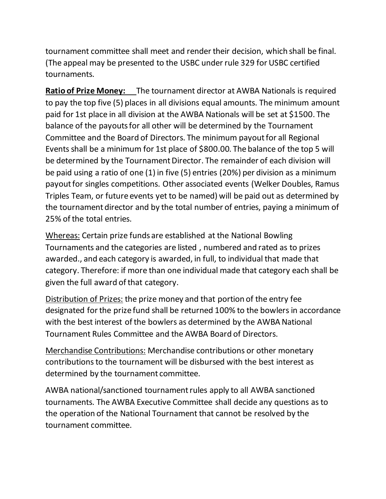tournament committee shall meet and render their decision, which shall be final. (The appeal may be presented to the USBC under rule 329 for USBC certified tournaments.

**Ratio of Prize Money:** The tournament director at AWBA Nationals is required to pay the top five (5) places in all divisions equal amounts. The minimum amount paid for 1st place in all division at the AWBA Nationals will be set at \$1500. The balance of the payouts for all other will be determined by the Tournament Committee and the Board of Directors. The minimum payout for all Regional Events shall be a minimum for 1st place of \$800.00. The balance of the top 5 will be determined by the Tournament Director. The remainder of each division will be paid using a ratio of one (1) in five (5) entries (20%) per division as a minimum payout for singles competitions. Other associated events (Welker Doubles, Ramus Triples Team, or future events yet to be named) will be paid out as determined by the tournament director and by the total number of entries, paying a minimum of 25% of the total entries.

Whereas: Certain prize funds are established at the National Bowling Tournaments and the categories are listed , numbered and rated as to prizes awarded., and each category is awarded, in full, to individual that made that category. Therefore: if more than one individual made that category each shall be given the full award of that category.

Distribution of Prizes: the prize money and that portion of the entry fee designated for the prize fund shall be returned 100% to the bowlers in accordance with the best interest of the bowlers as determined by the AWBA National Tournament Rules Committee and the AWBA Board of Directors.

Merchandise Contributions: Merchandise contributions or other monetary contributions to the tournament will be disbursed with the best interest as determined by the tournament committee.

AWBA national/sanctioned tournament rules apply to all AWBA sanctioned tournaments. The AWBA Executive Committee shall decide any questions as to the operation of the National Tournament that cannot be resolved by the tournament committee.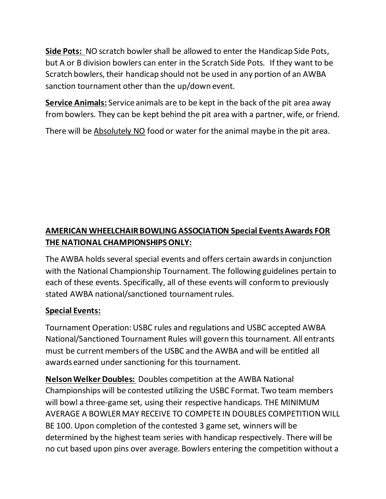**Side Pots:** NO scratch bowler shall be allowed to enter the Handicap Side Pots, but A or B division bowlers can enter in the Scratch Side Pots. If they want to be Scratch bowlers, their handicap should not be used in any portion of an AWBA sanction tournament other than the up/down event.

**Service Animals:** Service animals are to be kept in the back of the pit area away from bowlers. They can be kept behind the pit area with a partner, wife, or friend.

There will be Absolutely NO food or water for the animal maybe in the pit area.

# **AMERICAN WHEELCHAIR BOWLING ASSOCIATION Special Events Awards FOR THE NATIONAL CHAMPIONSHIPS ONLY:**

The AWBA holds several special events and offers certain awards in conjunction with the National Championship Tournament. The following guidelines pertain to each of these events. Specifically, all of these events will conform to previously stated AWBA national/sanctioned tournament rules.

## **Special Events:**

Tournament Operation: USBC rules and regulations and USBC accepted AWBA National/Sanctioned Tournament Rules will govern this tournament. All entrants must be current members of the USBC and the AWBA and will be entitled all awards earned under sanctioning for this tournament.

**Nelson Welker Doubles:** Doubles competition at the AWBA National Championships will be contested utilizing the USBC Format. Two team members will bowl a three-game set, using their respective handicaps. THE MINIMUM AVERAGE A BOWLER MAY RECEIVE TO COMPETE IN DOUBLES COMPETITION WILL BE 100. Upon completion of the contested 3 game set, winners will be determined by the highest team series with handicap respectively. There will be no cut based upon pins over average. Bowlers entering the competition without a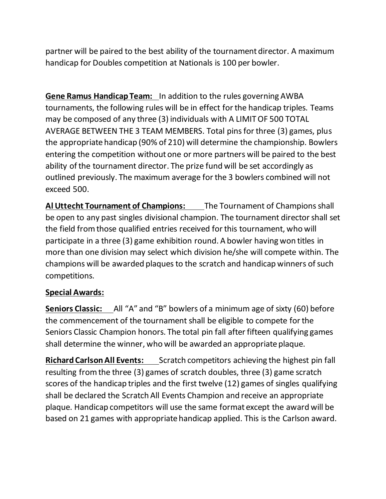partner will be paired to the best ability of the tournament director. A maximum handicap for Doubles competition at Nationals is 100 per bowler.

**Gene Ramus Handicap Team:** In addition to the rules governing AWBA tournaments, the following rules will be in effect for the handicap triples. Teams may be composed of any three (3) individuals with A LIMIT OF 500 TOTAL AVERAGE BETWEEN THE 3 TEAM MEMBERS. Total pins for three (3) games, plus the appropriate handicap (90% of 210) will determine the championship. Bowlers entering the competition without one or more partners will be paired to the best ability of the tournament director. The prize fund will be set accordingly as outlined previously. The maximum average for the 3 bowlers combined will not exceed 500.

**Al Uttecht Tournament of Champions:** The Tournament of Champions shall be open to any past singles divisional champion. The tournament director shall set the field from those qualified entries received for this tournament, who will participate in a three (3) game exhibition round. A bowler having won titles in more than one division may select which division he/she will compete within. The champions will be awarded plaques to the scratch and handicap winners of such competitions.

### **Special Awards:**

**Seniors Classic:** All "A" and "B" bowlers of a minimum age of sixty (60) before the commencement of the tournament shall be eligible to compete for the Seniors Classic Champion honors. The total pin fall after fifteen qualifying games shall determine the winner, who will be awarded an appropriate plaque.

**Richard Carlson All Events:** Scratch competitors achieving the highest pin fall resulting from the three (3) games of scratch doubles, three (3) game scratch scores of the handicap triples and the first twelve (12) games of singles qualifying shall be declared the Scratch All Events Champion and receive an appropriate plaque. Handicap competitors will use the same format except the award will be based on 21 games with appropriate handicap applied. This is the Carlson award.